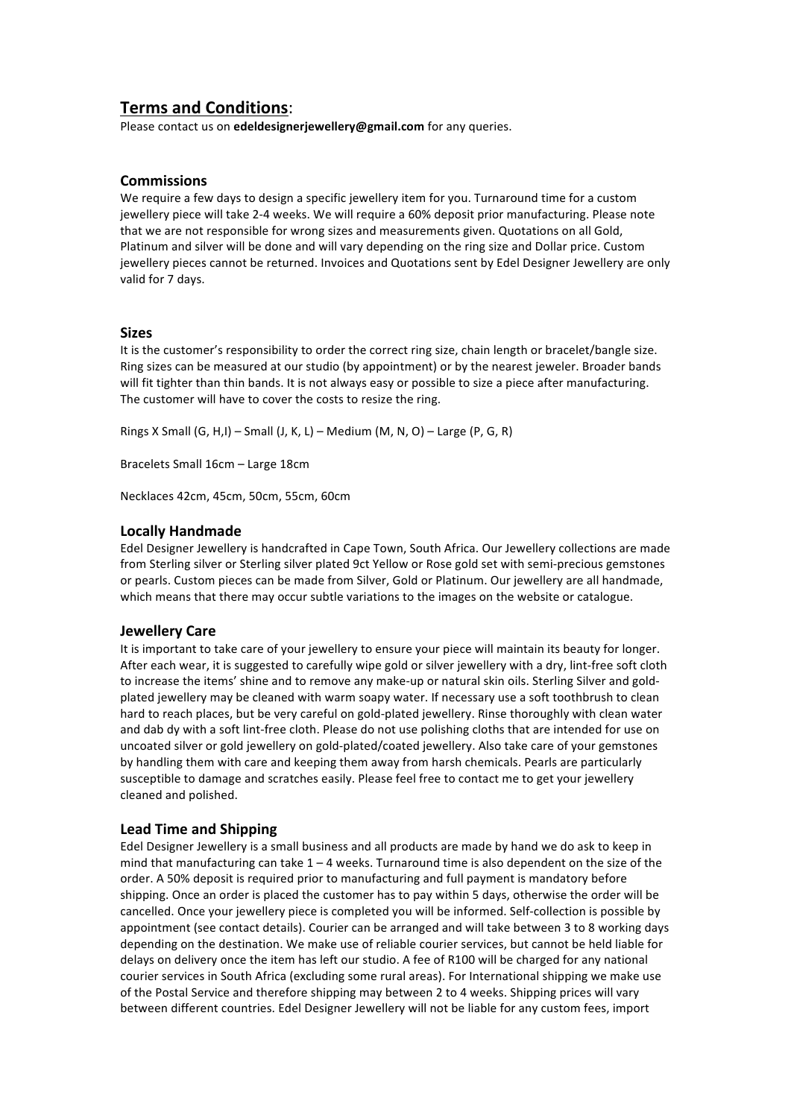## **Terms and Conditions**:

Please contact us on **edeldesignerjewellery@gmail.com** for any queries.

## **Commissions**

We require a few days to design a specific iewellery item for you. Turnaround time for a custom jewellery piece will take 2-4 weeks. We will require a 60% deposit prior manufacturing. Please note that we are not responsible for wrong sizes and measurements given. Quotations on all Gold, Platinum and silver will be done and will vary depending on the ring size and Dollar price. Custom jewellery pieces cannot be returned. Invoices and Quotations sent by Edel Designer Jewellery are only valid for 7 days.

#### **Sizes**

It is the customer's responsibility to order the correct ring size, chain length or bracelet/bangle size. Ring sizes can be measured at our studio (by appointment) or by the nearest jeweler. Broader bands will fit tighter than thin bands. It is not always easy or possible to size a piece after manufacturing. The customer will have to cover the costs to resize the ring.

Rings X Small  $(G, H, I)$  – Small  $(J, K, L)$  – Medium  $(M, N, O)$  – Large  $(P, G, R)$ 

Bracelets Small 16cm - Large 18cm

Necklaces 42cm, 45cm, 50cm, 55cm, 60cm

## **Locally Handmade**

Edel Designer Jewellery is handcrafted in Cape Town, South Africa. Our Jewellery collections are made from Sterling silver or Sterling silver plated 9ct Yellow or Rose gold set with semi-precious gemstones or pearls. Custom pieces can be made from Silver, Gold or Platinum. Our jewellery are all handmade, which means that there may occur subtle variations to the images on the website or catalogue.

#### **Jewellery Care**

It is important to take care of your jewellery to ensure your piece will maintain its beauty for longer. After each wear, it is suggested to carefully wipe gold or silver jewellery with a dry, lint-free soft cloth to increase the items' shine and to remove any make-up or natural skin oils. Sterling Silver and goldplated jewellery may be cleaned with warm soapy water. If necessary use a soft toothbrush to clean hard to reach places, but be very careful on gold-plated jewellery. Rinse thoroughly with clean water and dab dy with a soft lint-free cloth. Please do not use polishing cloths that are intended for use on uncoated silver or gold jewellery on gold-plated/coated jewellery. Also take care of your gemstones by handling them with care and keeping them away from harsh chemicals. Pearls are particularly susceptible to damage and scratches easily. Please feel free to contact me to get your jewellery cleaned and polished.

#### **Lead Time and Shipping**

Edel Designer Jewellery is a small business and all products are made by hand we do ask to keep in mind that manufacturing can take  $1 - 4$  weeks. Turnaround time is also dependent on the size of the order. A 50% deposit is required prior to manufacturing and full payment is mandatory before shipping. Once an order is placed the customer has to pay within 5 days, otherwise the order will be cancelled. Once your jewellery piece is completed you will be informed. Self-collection is possible by appointment (see contact details). Courier can be arranged and will take between 3 to 8 working days depending on the destination. We make use of reliable courier services, but cannot be held liable for delays on delivery once the item has left our studio. A fee of R100 will be charged for any national courier services in South Africa (excluding some rural areas). For International shipping we make use of the Postal Service and therefore shipping may between 2 to 4 weeks. Shipping prices will vary between different countries. Edel Designer Jewellery will not be liable for any custom fees, import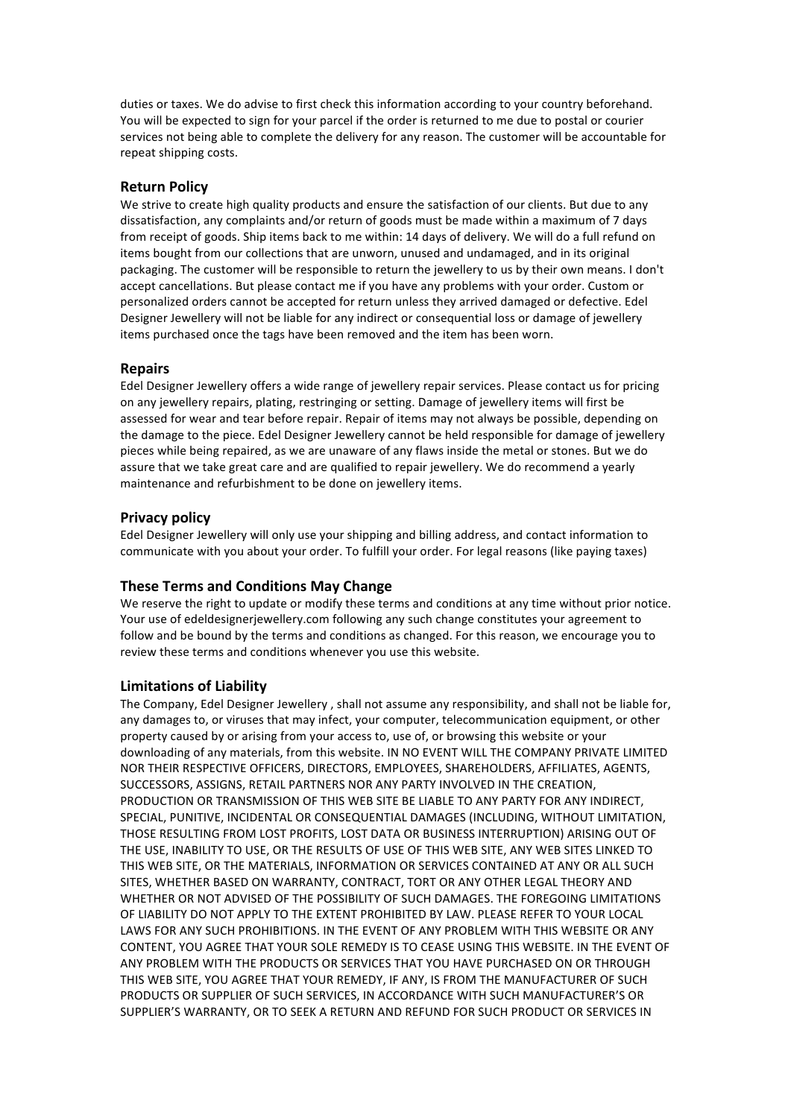duties or taxes. We do advise to first check this information according to your country beforehand. You will be expected to sign for your parcel if the order is returned to me due to postal or courier services not being able to complete the delivery for any reason. The customer will be accountable for repeat shipping costs.

## **Return Policy**

We strive to create high quality products and ensure the satisfaction of our clients. But due to any dissatisfaction, any complaints and/or return of goods must be made within a maximum of 7 days from receipt of goods. Ship items back to me within: 14 days of delivery. We will do a full refund on items bought from our collections that are unworn, unused and undamaged, and in its original packaging. The customer will be responsible to return the jewellery to us by their own means. I don't accept cancellations. But please contact me if you have any problems with your order. Custom or personalized orders cannot be accepted for return unless they arrived damaged or defective. Edel Designer Jewellery will not be liable for any indirect or consequential loss or damage of jewellery items purchased once the tags have been removed and the item has been worn.

#### **Repairs**

Edel Designer Jewellery offers a wide range of jewellery repair services. Please contact us for pricing on any jewellery repairs, plating, restringing or setting. Damage of jewellery items will first be assessed for wear and tear before repair. Repair of items may not always be possible, depending on the damage to the piece. Edel Designer Jewellery cannot be held responsible for damage of jewellery pieces while being repaired, as we are unaware of any flaws inside the metal or stones. But we do assure that we take great care and are qualified to repair jewellery. We do recommend a yearly maintenance and refurbishment to be done on jewellery items.

#### **Privacy policy**

Edel Designer Jewellery will only use your shipping and billing address, and contact information to communicate with you about your order. To fulfill your order. For legal reasons (like paying taxes)

#### **These Terms and Conditions May Change**

We reserve the right to update or modify these terms and conditions at any time without prior notice. Your use of edeldesignerjewellery.com following any such change constitutes your agreement to follow and be bound by the terms and conditions as changed. For this reason, we encourage you to review these terms and conditions whenever you use this website.

#### **Limitations of Liability**

The Company, Edel Designer Jewellery, shall not assume any responsibility, and shall not be liable for, any damages to, or viruses that may infect, your computer, telecommunication equipment, or other property caused by or arising from your access to, use of, or browsing this website or your downloading of any materials, from this website. IN NO EVENT WILL THE COMPANY PRIVATE LIMITED NOR THEIR RESPECTIVE OFFICERS, DIRECTORS, EMPLOYEES, SHAREHOLDERS, AFFILIATES, AGENTS, SUCCESSORS, ASSIGNS, RETAIL PARTNERS NOR ANY PARTY INVOLVED IN THE CREATION, PRODUCTION OR TRANSMISSION OF THIS WEB SITE BE LIABLE TO ANY PARTY FOR ANY INDIRECT, SPECIAL, PUNITIVE, INCIDENTAL OR CONSEQUENTIAL DAMAGES (INCLUDING, WITHOUT LIMITATION, THOSE RESULTING FROM LOST PROFITS, LOST DATA OR BUSINESS INTERRUPTION) ARISING OUT OF THE USE, INABILITY TO USE, OR THE RESULTS OF USE OF THIS WEB SITE, ANY WEB SITES LINKED TO THIS WEB SITE, OR THE MATERIALS, INFORMATION OR SERVICES CONTAINED AT ANY OR ALL SUCH SITES, WHETHER BASED ON WARRANTY, CONTRACT, TORT OR ANY OTHER LEGAL THEORY AND WHETHER OR NOT ADVISED OF THE POSSIBILITY OF SUCH DAMAGES. THE FOREGOING LIMITATIONS OF LIABILITY DO NOT APPLY TO THE EXTENT PROHIBITED BY LAW. PLEASE REFER TO YOUR LOCAL LAWS FOR ANY SUCH PROHIBITIONS. IN THE EVENT OF ANY PROBLEM WITH THIS WEBSITE OR ANY CONTENT, YOU AGREE THAT YOUR SOLE REMEDY IS TO CEASE USING THIS WEBSITE. IN THE EVENT OF ANY PROBLEM WITH THE PRODUCTS OR SERVICES THAT YOU HAVE PURCHASED ON OR THROUGH THIS WEB SITE, YOU AGREE THAT YOUR REMEDY, IF ANY, IS FROM THE MANUFACTURER OF SUCH PRODUCTS OR SUPPLIER OF SUCH SERVICES, IN ACCORDANCE WITH SUCH MANUFACTURER'S OR SUPPLIER'S WARRANTY, OR TO SEEK A RETURN AND REFUND FOR SUCH PRODUCT OR SERVICES IN